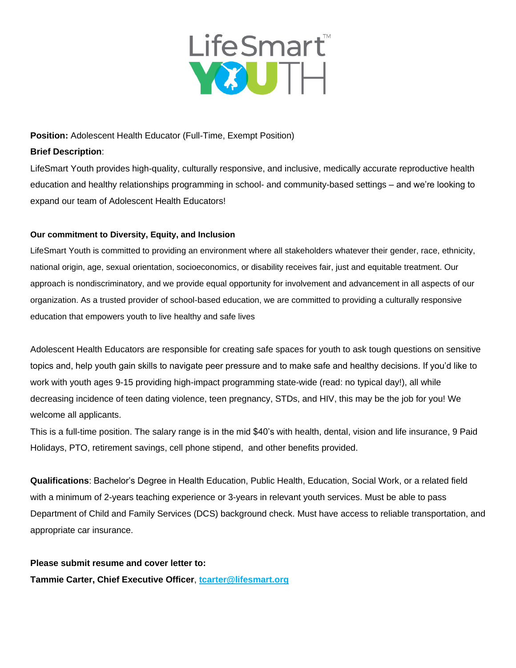

### **Position:** Adolescent Health Educator (Full-Time, Exempt Position)

### **Brief Description**:

LifeSmart Youth provides high-quality, culturally responsive, and inclusive, medically accurate reproductive health education and healthy relationships programming in school- and community-based settings – and we're looking to expand our team of Adolescent Health Educators!

## **Our commitment to Diversity, Equity, and Inclusion**

LifeSmart Youth is committed to providing an environment where all stakeholders whatever their gender, race, ethnicity, national origin, age, sexual orientation, socioeconomics, or disability receives fair, just and equitable treatment. Our approach is nondiscriminatory, and we provide equal opportunity for involvement and advancement in all aspects of our organization. As a trusted provider of school-based education, we are committed to providing a culturally responsive education that empowers youth to live healthy and safe lives

Adolescent Health Educators are responsible for creating safe spaces for youth to ask tough questions on sensitive topics and, help youth gain skills to navigate peer pressure and to make safe and healthy decisions. If you'd like to work with youth ages 9-15 providing high-impact programming state-wide (read: no typical day!), all while decreasing incidence of teen dating violence, teen pregnancy, STDs, and HIV, this may be the job for you! We welcome all applicants.

This is a full-time position. The salary range is in the mid \$40's with health, dental, vision and life insurance, 9 Paid Holidays, PTO, retirement savings, cell phone stipend, and other benefits provided.

**Qualifications**: Bachelor's Degree in Health Education, Public Health, Education, Social Work, or a related field with a minimum of 2-years teaching experience or 3-years in relevant youth services. Must be able to pass Department of Child and Family Services (DCS) background check. Must have access to reliable transportation, and appropriate car insurance.

**Please submit resume and cover letter to: Tammie Carter, Chief Executive Officer**, **[tcarter@lifesmart.org](mailto:tcarter@lifesmart.org)**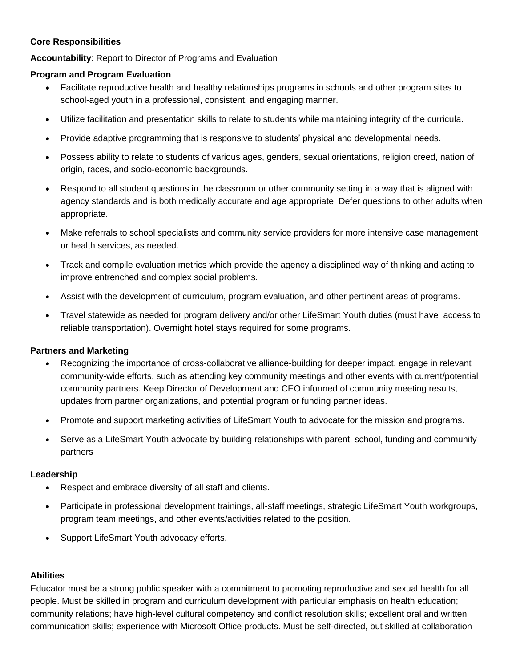# **Core Responsibilities**

**Accountability**: Report to Director of Programs and Evaluation

# **Program and Program Evaluation**

- Facilitate reproductive health and healthy relationships programs in schools and other program sites to school-aged youth in a professional, consistent, and engaging manner.
- Utilize facilitation and presentation skills to relate to students while maintaining integrity of the curricula.
- Provide adaptive programming that is responsive to students' physical and developmental needs.
- Possess ability to relate to students of various ages, genders, sexual orientations, religion creed, nation of origin, races, and socio-economic backgrounds.
- Respond to all student questions in the classroom or other community setting in a way that is aligned with agency standards and is both medically accurate and age appropriate. Defer questions to other adults when appropriate.
- Make referrals to school specialists and community service providers for more intensive case management or health services, as needed.
- Track and compile evaluation metrics which provide the agency a disciplined way of thinking and acting to improve entrenched and complex social problems.
- Assist with the development of curriculum, program evaluation, and other pertinent areas of programs.
- Travel statewide as needed for program delivery and/or other LifeSmart Youth duties (must have access to reliable transportation). Overnight hotel stays required for some programs.

## **Partners and Marketing**

- Recognizing the importance of cross-collaborative alliance-building for deeper impact, engage in relevant community-wide efforts, such as attending key community meetings and other events with current/potential community partners. Keep Director of Development and CEO informed of community meeting results, updates from partner organizations, and potential program or funding partner ideas.
- Promote and support marketing activities of LifeSmart Youth to advocate for the mission and programs.
- Serve as a LifeSmart Youth advocate by building relationships with parent, school, funding and community partners

## **Leadership**

- Respect and embrace diversity of all staff and clients.
- Participate in professional development trainings, all-staff meetings, strategic LifeSmart Youth workgroups, program team meetings, and other events/activities related to the position.
- Support LifeSmart Youth advocacy efforts.

## **Abilities**

Educator must be a strong public speaker with a commitment to promoting reproductive and sexual health for all people. Must be skilled in program and curriculum development with particular emphasis on health education; community relations; have high-level cultural competency and conflict resolution skills; excellent oral and written communication skills; experience with Microsoft Office products. Must be self-directed, but skilled at collaboration